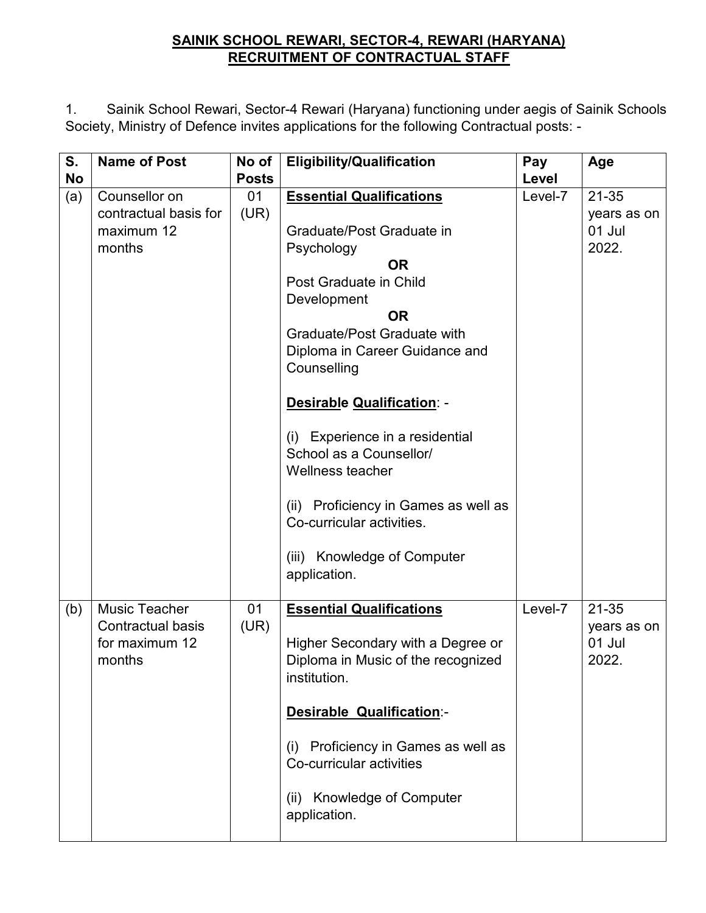## **SAINIK SCHOOL REWARI, SECTOR-4, REWARI (HARYANA) RECRUITMENT OF CONTRACTUAL STAFF**

1. Sainik School Rewari, Sector-4 Rewari (Haryana) functioning under aegis of Sainik Schools Society, Ministry of Defence invites applications for the following Contractual posts: -

| S.        | <b>Name of Post</b>                        | No of        | <b>Eligibility/Qualification</b>                                   | Pay     | Age         |
|-----------|--------------------------------------------|--------------|--------------------------------------------------------------------|---------|-------------|
| <b>No</b> |                                            | <b>Posts</b> |                                                                    | Level   |             |
| (a)       | Counsellor on                              | 01           | <b>Essential Qualifications</b>                                    | Level-7 | $21 - 35$   |
|           | contractual basis for                      | (UR)         |                                                                    |         | years as on |
|           | maximum 12                                 |              | Graduate/Post Graduate in                                          |         | 01 Jul      |
|           | months                                     |              | Psychology                                                         |         | 2022.       |
|           |                                            |              | <b>OR</b>                                                          |         |             |
|           |                                            |              | Post Graduate in Child                                             |         |             |
|           |                                            |              | Development                                                        |         |             |
|           |                                            |              | <b>OR</b>                                                          |         |             |
|           |                                            |              | Graduate/Post Graduate with                                        |         |             |
|           |                                            |              | Diploma in Career Guidance and                                     |         |             |
|           |                                            |              | Counselling                                                        |         |             |
|           |                                            |              | Desirable Qualification: -                                         |         |             |
|           |                                            |              | (i) Experience in a residential                                    |         |             |
|           |                                            |              | School as a Counsellor/                                            |         |             |
|           |                                            |              | Wellness teacher                                                   |         |             |
|           |                                            |              | (ii) Proficiency in Games as well as                               |         |             |
|           |                                            |              | Co-curricular activities.                                          |         |             |
|           |                                            |              | (iii) Knowledge of Computer<br>application.                        |         |             |
| (b)       | <b>Music Teacher</b>                       | 01           | <b>Essential Qualifications</b>                                    | Level-7 | $21 - 35$   |
|           | <b>Contractual basis</b><br>for maximum 12 | (UR)         |                                                                    |         | years as on |
|           |                                            |              | Higher Secondary with a Degree or                                  |         | 01 Jul      |
|           | months                                     |              | Diploma in Music of the recognized                                 |         | 2022.       |
|           |                                            |              | institution.                                                       |         |             |
|           |                                            |              | <b>Desirable Qualification:-</b>                                   |         |             |
|           |                                            |              | Proficiency in Games as well as<br>(i)<br>Co-curricular activities |         |             |
|           |                                            |              | <b>Knowledge of Computer</b><br>(ii)<br>application.               |         |             |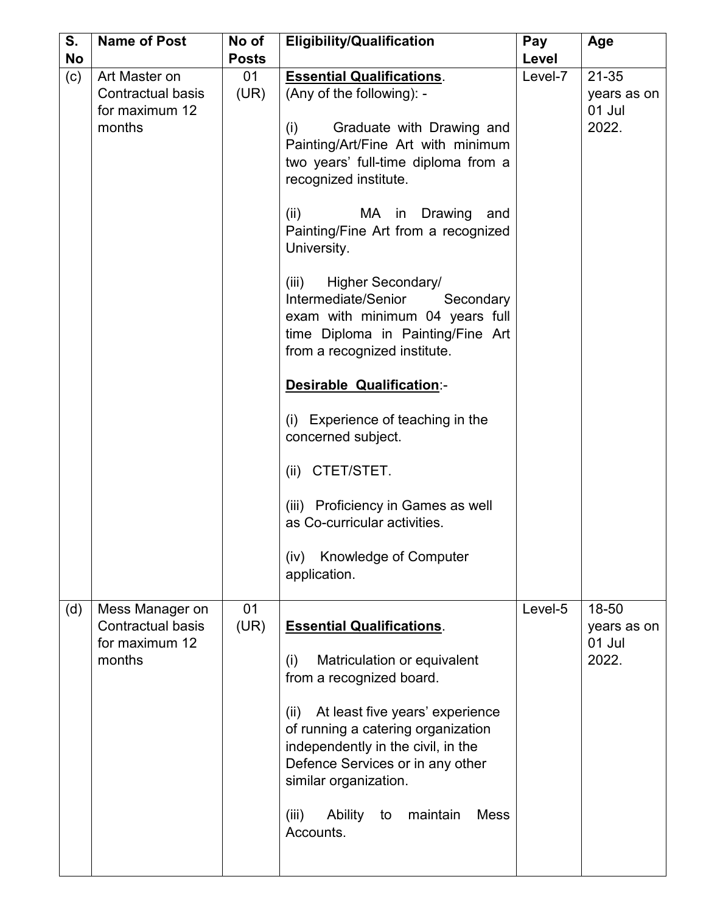| S.        | <b>Name of Post</b>                                                     | No of        | <b>Eligibility/Qualification</b>                                                                                                                                                                                                                                                                                                                                                                                                                                                                                                                                                                                                                                                                                        | Pay     | Age                                         |
|-----------|-------------------------------------------------------------------------|--------------|-------------------------------------------------------------------------------------------------------------------------------------------------------------------------------------------------------------------------------------------------------------------------------------------------------------------------------------------------------------------------------------------------------------------------------------------------------------------------------------------------------------------------------------------------------------------------------------------------------------------------------------------------------------------------------------------------------------------------|---------|---------------------------------------------|
| <b>No</b> |                                                                         | <b>Posts</b> |                                                                                                                                                                                                                                                                                                                                                                                                                                                                                                                                                                                                                                                                                                                         | Level   |                                             |
| (c)       | Art Master on<br>Contractual basis<br>for maximum 12<br>months          | 01<br>(UR)   | <b>Essential Qualifications.</b><br>(Any of the following): -<br>Graduate with Drawing and<br>(i)<br>Painting/Art/Fine Art with minimum<br>two years' full-time diploma from a<br>recognized institute.<br>(ii)<br>MA in Drawing<br>and<br>Painting/Fine Art from a recognized<br>University.<br>Higher Secondary/<br>(iii)<br>Intermediate/Senior<br>Secondary<br>exam with minimum 04 years full<br>time Diploma in Painting/Fine Art<br>from a recognized institute.<br><b>Desirable Qualification:-</b><br>(i) Experience of teaching in the<br>concerned subject.<br>(ii) CTET/STET.<br>(iii) Proficiency in Games as well<br>as Co-curricular activities.<br><b>Knowledge of Computer</b><br>(iv)<br>application. | Level-7 | $21 - 35$<br>years as on<br>01 Jul<br>2022. |
| (d)       | Mess Manager on<br><b>Contractual basis</b><br>for maximum 12<br>months | 01<br>(UR)   | <b>Essential Qualifications.</b><br>Matriculation or equivalent<br>(i)<br>from a recognized board.<br>At least five years' experience<br>(ii)<br>of running a catering organization<br>independently in the civil, in the<br>Defence Services or in any other<br>similar organization.<br><b>Ability</b><br>maintain<br><b>Mess</b><br>(iii)<br>to<br>Accounts.                                                                                                                                                                                                                                                                                                                                                         | Level-5 | 18-50<br>years as on<br>01 Jul<br>2022.     |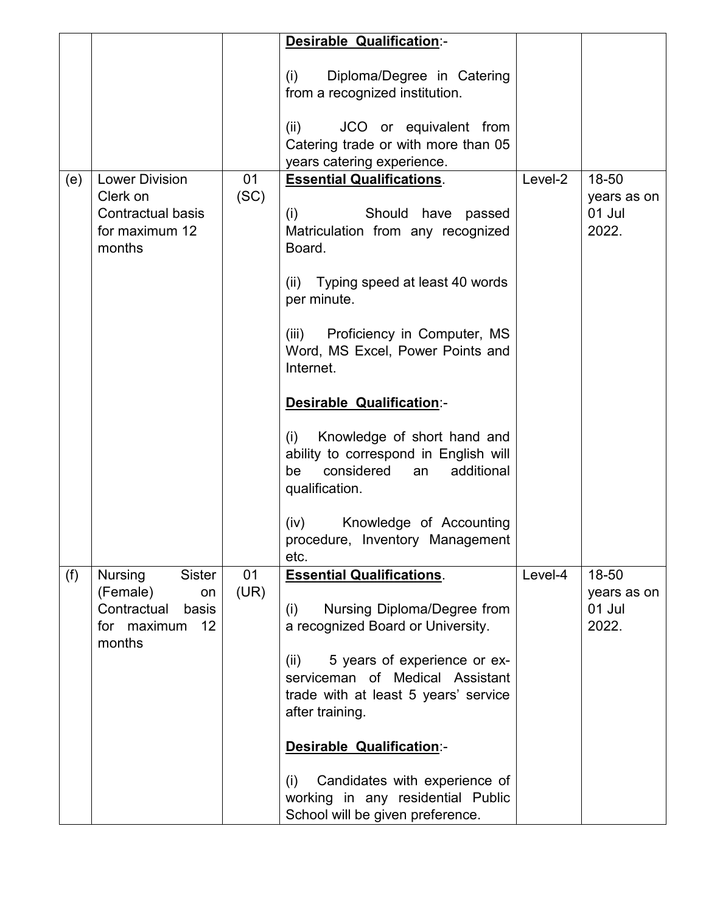|     |                                                                       |      | <b>Desirable Qualification:-</b>                                                                                                      |         |                                |
|-----|-----------------------------------------------------------------------|------|---------------------------------------------------------------------------------------------------------------------------------------|---------|--------------------------------|
|     |                                                                       |      | Diploma/Degree in Catering<br>(i)<br>from a recognized institution.                                                                   |         |                                |
|     |                                                                       |      | JCO or equivalent from<br>(ii)<br>Catering trade or with more than 05<br>years catering experience.                                   |         |                                |
| (e) | <b>Lower Division</b>                                                 | 01   | <b>Essential Qualifications.</b>                                                                                                      | Level-2 | 18-50                          |
|     | Clerk on<br><b>Contractual basis</b><br>for maximum 12<br>months      | (SC) | Should have passed<br>(i)<br>Matriculation from any recognized<br>Board.                                                              |         | years as on<br>01 Jul<br>2022. |
|     |                                                                       |      | (ii) Typing speed at least 40 words<br>per minute.                                                                                    |         |                                |
|     |                                                                       |      | (iii) Proficiency in Computer, MS<br>Word, MS Excel, Power Points and<br>Internet.                                                    |         |                                |
|     |                                                                       |      | <b>Desirable Qualification:-</b>                                                                                                      |         |                                |
|     |                                                                       |      | Knowledge of short hand and<br>(i)<br>ability to correspond in English will<br>considered<br>be<br>additional<br>an<br>qualification. |         |                                |
|     |                                                                       |      | Knowledge of Accounting<br>(iv)<br>procedure, Inventory Management<br>etc.                                                            |         |                                |
| (f) | <b>Nursing</b><br><b>Sister</b>                                       | 01   | <b>Essential Qualifications.</b>                                                                                                      | Level-4 | 18-50                          |
|     | (Female)<br>on<br>Contractual<br>basis<br>12<br>for maximum<br>months | (UR) | Nursing Diploma/Degree from<br>(i)<br>a recognized Board or University.                                                               |         | years as on<br>01 Jul<br>2022. |
|     |                                                                       |      | 5 years of experience or ex-<br>(ii)<br>serviceman of Medical Assistant<br>trade with at least 5 years' service<br>after training.    |         |                                |
|     |                                                                       |      | <b>Desirable Qualification:-</b>                                                                                                      |         |                                |
|     |                                                                       |      | Candidates with experience of<br>(i)<br>working in any residential Public<br>School will be given preference.                         |         |                                |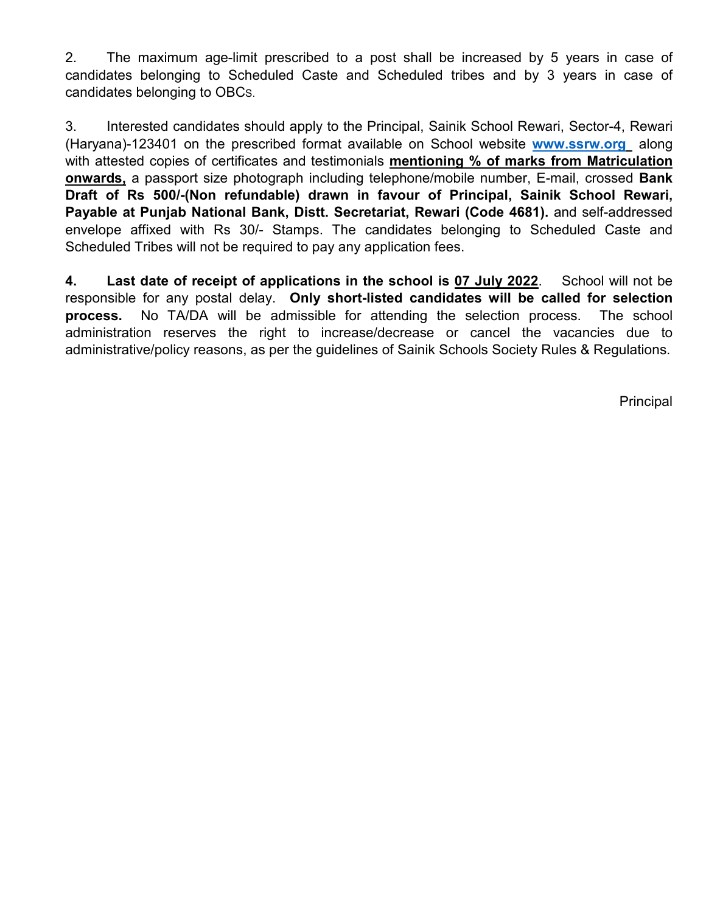2. The maximum age-limit prescribed to a post shall be increased by 5 years in case of candidates belonging to Scheduled Caste and Scheduled tribes and by 3 years in case of candidates belonging to OBCS.

3. Interested candidates should apply to the Principal, Sainik School Rewari, Sector-4, Rewari (Haryana)-123401 on the prescribed format available on School website **www.ssrw.org** along with attested copies of certificates and testimonials **mentioning % of marks from Matriculation onwards,** a passport size photograph including telephone/mobile number, E-mail, crossed **Bank Draft of Rs 500/-(Non refundable) drawn in favour of Principal, Sainik School Rewari, Payable at Punjab National Bank, Distt. Secretariat, Rewari (Code 4681).** and self-addressed envelope affixed with Rs 30/- Stamps. The candidates belonging to Scheduled Caste and Scheduled Tribes will not be required to pay any application fees.

**4. Last date of receipt of applications in the school is 07 July 2022**. School will not be responsible for any postal delay. **Only short-listed candidates will be called for selection process.** No TA/DA will be admissible for attending the selection process. The school administration reserves the right to increase/decrease or cancel the vacancies due to administrative/policy reasons, as per the guidelines of Sainik Schools Society Rules & Regulations.

Principal